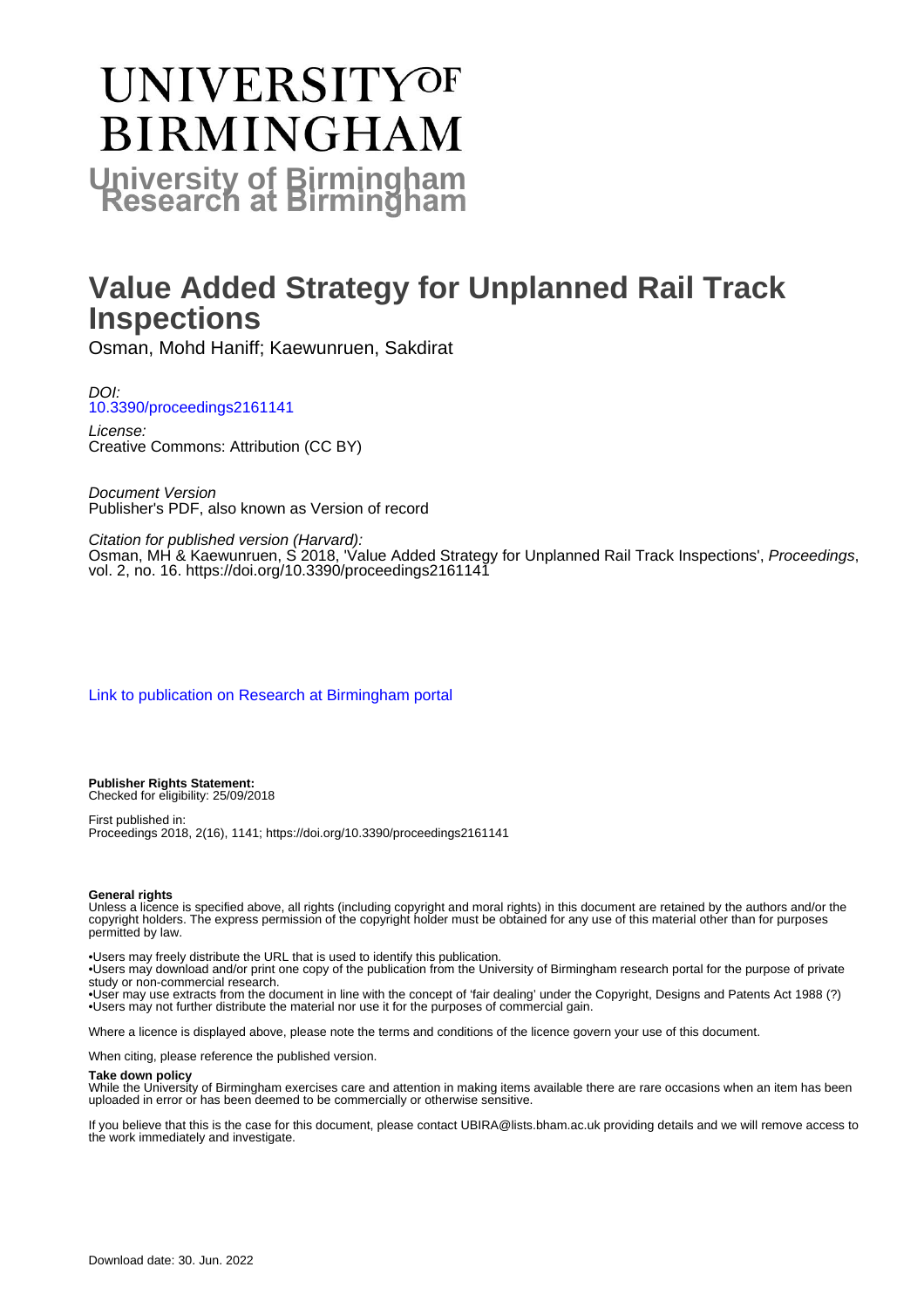# **UNIVERSITYOF BIRMINGHAM University of Birmingham**

## **Value Added Strategy for Unplanned Rail Track Inspections**

Osman, Mohd Haniff; Kaewunruen, Sakdirat

DOI: [10.3390/proceedings2161141](https://doi.org/10.3390/proceedings2161141)

License: Creative Commons: Attribution (CC BY)

Document Version Publisher's PDF, also known as Version of record

Citation for published version (Harvard): Osman, MH & Kaewunruen, S 2018, 'Value Added Strategy for Unplanned Rail Track Inspections', Proceedings, vol. 2, no. 16. <https://doi.org/10.3390/proceedings2161141>

[Link to publication on Research at Birmingham portal](https://birmingham.elsevierpure.com/en/publications/8b043bac-c550-493e-80dd-832493f180a6)

**Publisher Rights Statement:** Checked for eligibility: 25/09/2018

First published in: Proceedings 2018, 2(16), 1141; https://doi.org/10.3390/proceedings2161141

#### **General rights**

Unless a licence is specified above, all rights (including copyright and moral rights) in this document are retained by the authors and/or the copyright holders. The express permission of the copyright holder must be obtained for any use of this material other than for purposes permitted by law.

• Users may freely distribute the URL that is used to identify this publication.

• Users may download and/or print one copy of the publication from the University of Birmingham research portal for the purpose of private study or non-commercial research.

• User may use extracts from the document in line with the concept of 'fair dealing' under the Copyright, Designs and Patents Act 1988 (?) • Users may not further distribute the material nor use it for the purposes of commercial gain.

Where a licence is displayed above, please note the terms and conditions of the licence govern your use of this document.

When citing, please reference the published version.

#### **Take down policy**

While the University of Birmingham exercises care and attention in making items available there are rare occasions when an item has been uploaded in error or has been deemed to be commercially or otherwise sensitive.

If you believe that this is the case for this document, please contact UBIRA@lists.bham.ac.uk providing details and we will remove access to the work immediately and investigate.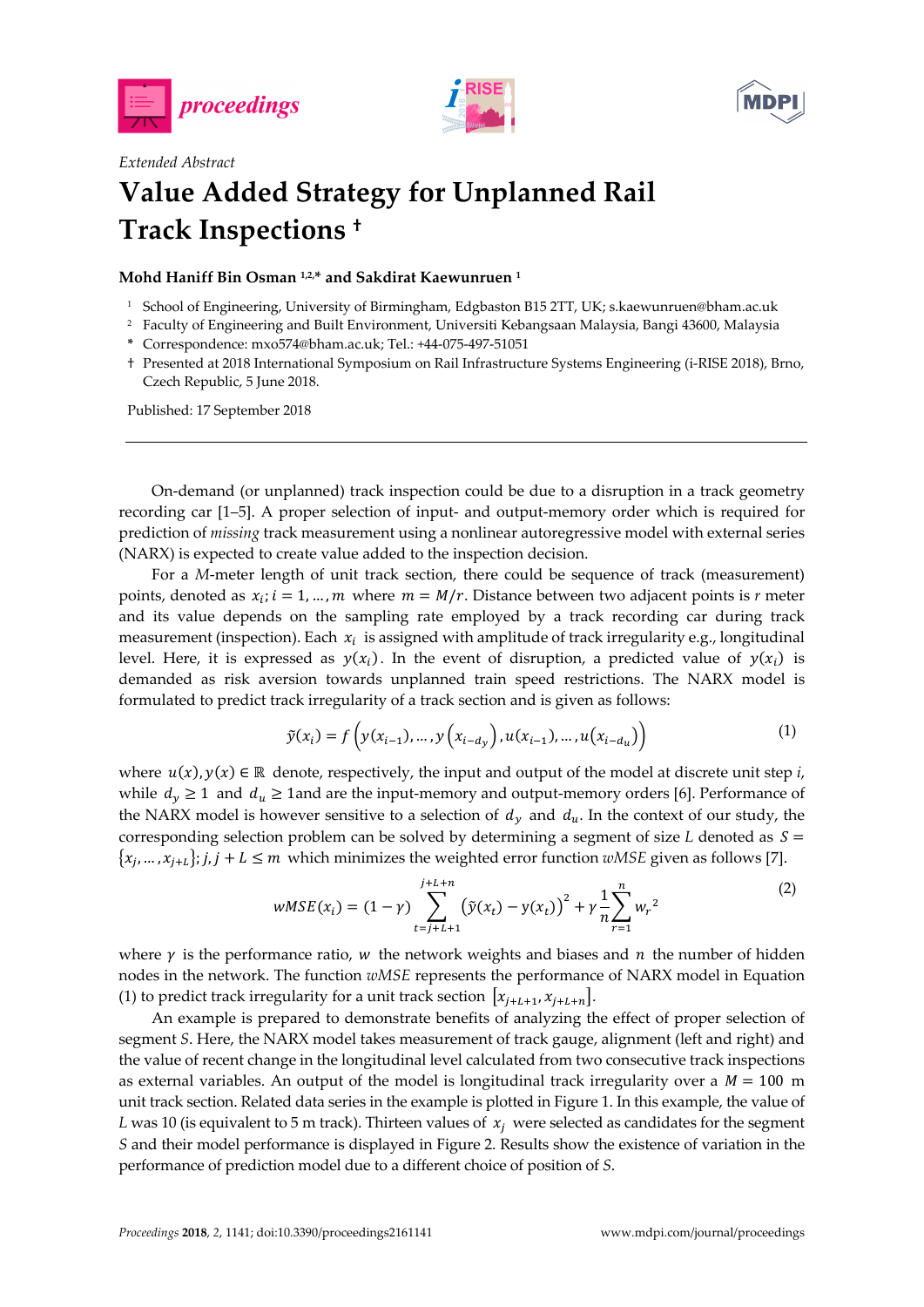





### *Extended Abstract*  **Value Added Strategy for Unplanned Rail Track Inspections †**

#### **Mohd Haniff Bin Osman 1,2,\* and Sakdirat Kaewunruen 1**

- 1 School of Engineering, University of Birmingham, Edgbaston B15 2TT, UK; s.kaewunruen@bham.ac.uk
- 2 Faculty of Engineering and Built Environment, Universiti Kebangsaan Malaysia, Bangi 43600, Malaysia
- **\*** Correspondence: mxo574@bham.ac.uk; Tel.: +44-075-497-51051
- † Presented at 2018 International Symposium on Rail Infrastructure Systems Engineering (i-RISE 2018), Brno, Czech Republic, 5 June 2018.

Published: 17 September 2018

On-demand (or unplanned) track inspection could be due to a disruption in a track geometry recording car [1–5]. A proper selection of input- and output-memory order which is required for prediction of *missing* track measurement using a nonlinear autoregressive model with external series (NARX) is expected to create value added to the inspection decision.

For a *M*-meter length of unit track section, there could be sequence of track (measurement) points, denoted as  $x_i$ ;  $i = 1, ..., m$  where  $m = M/r$ . Distance between two adjacent points is r meter and its value depends on the sampling rate employed by a track recording car during track measurement (inspection). Each  $x_i$  is assigned with amplitude of track irregularity e.g., longitudinal level. Here, it is expressed as  $y(x_i)$ . In the event of disruption, a predicted value of  $y(x_i)$  is demanded as risk aversion towards unplanned train speed restrictions. The NARX model is formulated to predict track irregularity of a track section and is given as follows:

$$
\tilde{y}(x_i) = f\left(y(x_{i-1}), \dots, y\left(x_{i-d_y}\right), u(x_{i-1}), \dots, u(x_{i-d_u})\right) \tag{1}
$$

where  $u(x)$ ,  $y(x) \in \mathbb{R}$  denote, respectively, the input and output of the model at discrete unit step *i*, while  $d_v \ge 1$  and  $d_u \ge 1$  and are the input-memory and output-memory orders [6]. Performance of the NARX model is however sensitive to a selection of  $d_v$  and  $d_u$ . In the context of our study, the corresponding selection problem can be solved by determining a segment of size *L* denoted as  $S =$  $\{x_i, ..., x_{i+1}\}\; j, j + L \leq m$  which minimizes the weighted error function *wMSE* given as follows [7].

$$
wMSE(x_i) = (1 - \gamma) \sum_{t=j+L+1}^{j+L+n} (\tilde{y}(x_t) - y(x_t))^2 + \gamma \frac{1}{n} \sum_{r=1}^{n} w_r^2
$$
 (2)

where  $\gamma$  is the performance ratio,  $w$  the network weights and biases and  $n$  the number of hidden nodes in the network. The function *wMSE* represents the performance of NARX model in Equation (1) to predict track irregularity for a unit track section  $|x_{i+L+1}, x_{i+L+n}|$ .

An example is prepared to demonstrate benefits of analyzing the effect of proper selection of segment *S*. Here, the NARX model takes measurement of track gauge, alignment (left and right) and the value of recent change in the longitudinal level calculated from two consecutive track inspections as external variables. An output of the model is longitudinal track irregularity over a  $M = 100$  m unit track section. Related data series in the example is plotted in Figure 1. In this example, the value of *L* was 10 (is equivalent to 5 m track). Thirteen values of  $x_i$  were selected as candidates for the segment *S* and their model performance is displayed in Figure 2. Results show the existence of variation in the performance of prediction model due to a different choice of position of *S*.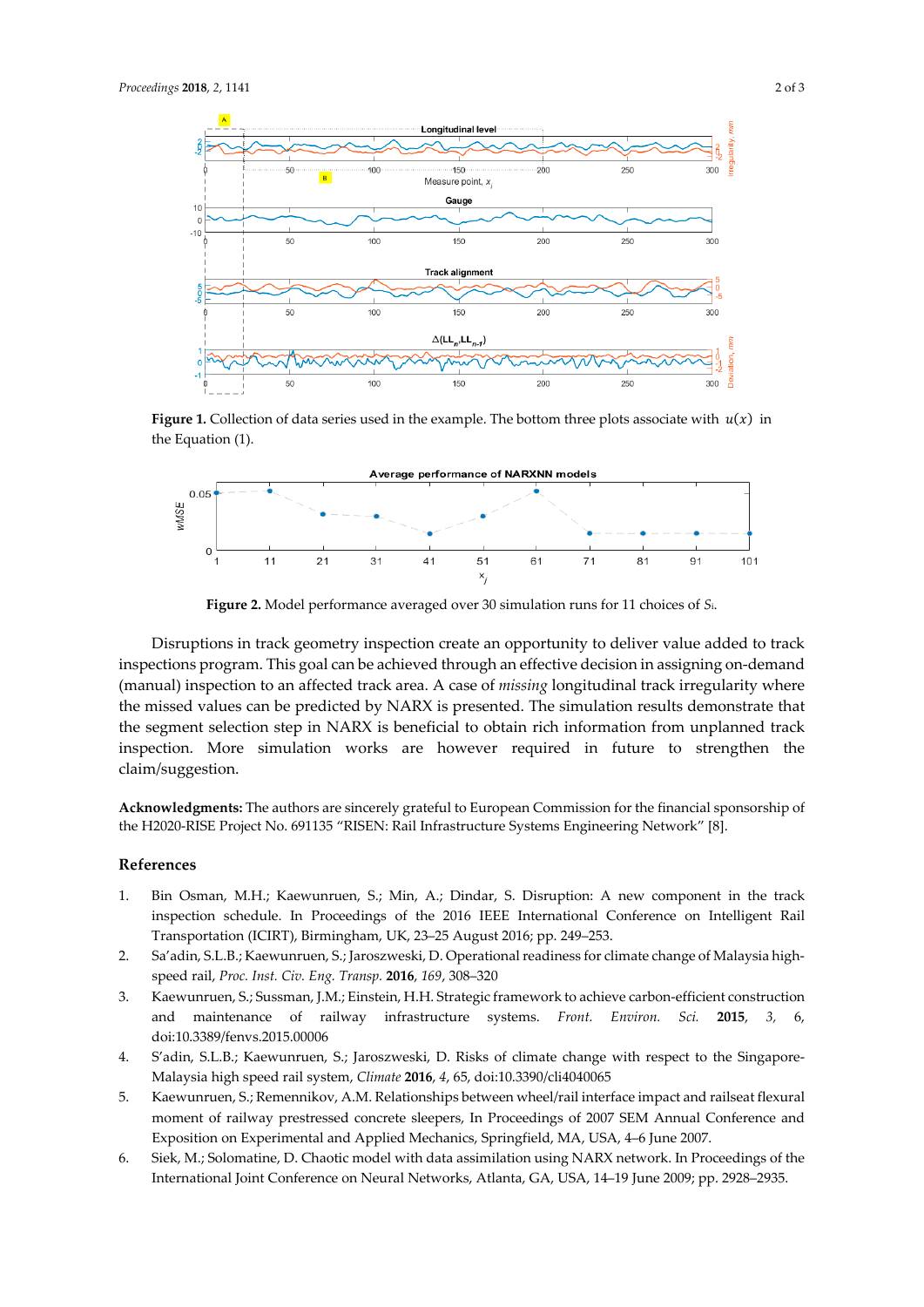

**Figure 1.** Collection of data series used in the example. The bottom three plots associate with  $u(x)$  in the Equation (1).



**Figure 2.** Model performance averaged over 30 simulation runs for 11 choices of *S*i.

Disruptions in track geometry inspection create an opportunity to deliver value added to track inspections program. This goal can be achieved through an effective decision in assigning on-demand (manual) inspection to an affected track area. A case of *missing* longitudinal track irregularity where the missed values can be predicted by NARX is presented. The simulation results demonstrate that the segment selection step in NARX is beneficial to obtain rich information from unplanned track inspection. More simulation works are however required in future to strengthen the claim/suggestion.

**Acknowledgments:** The authors are sincerely grateful to European Commission for the financial sponsorship of the H2020-RISE Project No. 691135 "RISEN: Rail Infrastructure Systems Engineering Network" [8].

#### **References**

- 1. Bin Osman, M.H.; Kaewunruen, S.; Min, A.; Dindar, S. Disruption: A new component in the track inspection schedule. In Proceedings of the 2016 IEEE International Conference on Intelligent Rail Transportation (ICIRT), Birmingham, UK, 23–25 August 2016; pp. 249–253.
- 2. Sa'adin, S.L.B.; Kaewunruen, S.; Jaroszweski, D. Operational readiness for climate change of Malaysia highspeed rail, *Proc. Inst. Civ. Eng. Transp.* **2016**, *169*, 308–320
- 3. Kaewunruen, S.; Sussman, J.M.; Einstein, H.H. Strategic framework to achieve carbon-efficient construction and maintenance of railway infrastructure systems. *Front. Environ. Sci.* **2015**, *3,* 6, doi:10.3389/fenvs.2015.00006
- 4. S'adin, S.L.B.; Kaewunruen, S.; Jaroszweski, D. Risks of climate change with respect to the Singapore-Malaysia high speed rail system, *Climate* **2016**, *4*, 65, doi:10.3390/cli4040065
- 5. Kaewunruen, S.; Remennikov, A.M. Relationships between wheel/rail interface impact and railseat flexural moment of railway prestressed concrete sleepers, In Proceedings of 2007 SEM Annual Conference and Exposition on Experimental and Applied Mechanics, Springfield, MA, USA, 4–6 June 2007.
- 6. Siek, M.; Solomatine, D. Chaotic model with data assimilation using NARX network. In Proceedings of the International Joint Conference on Neural Networks, Atlanta, GA, USA, 14–19 June 2009; pp. 2928–2935.